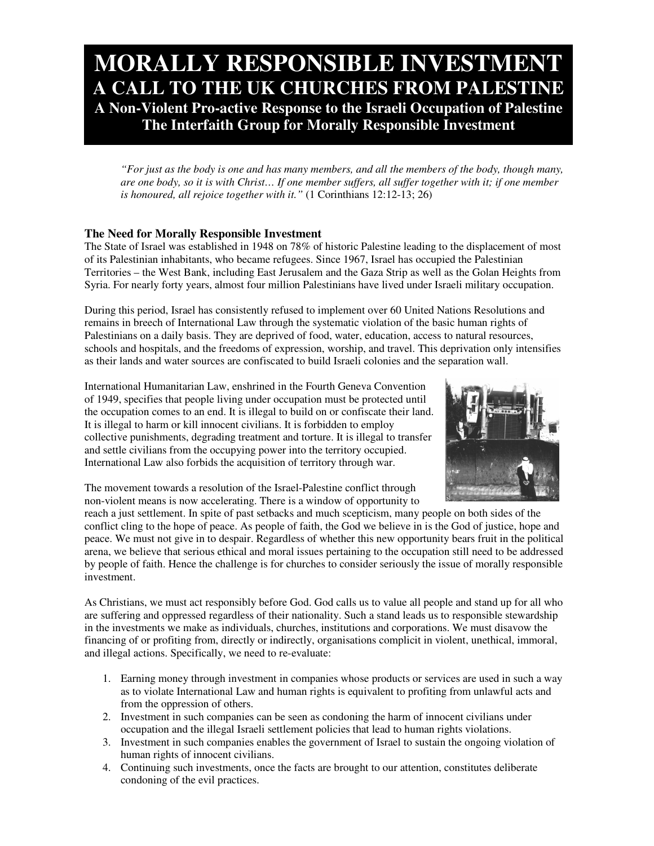# **MORALLY RESPONSIBLE INVESTMENT A CALL TO THE UK CHURCHES FROM PALESTINE A Non-Violent Pro-active Response to the Israeli Occupation of Palestine The Interfaith Group for Morally Responsible Investment**

"For just as the body is one and has many members, and all the members of the body, though many, are one body, so it is with Christ... If one member suffers, all suffer together with it; if one member *is honoured, all rejoice together with it."* (1 Corinthians 12:12-13; 26)

# **The Need for Morally Responsible Investment**

The State of Israel was established in 1948 on 78% of historic Palestine leading to the displacement of most of its Palestinian inhabitants, who became refugees. Since 1967, Israel has occupied the Palestinian Territories – the West Bank, including East Jerusalem and the Gaza Strip as well as the Golan Heights from Syria. For nearly forty years, almost four million Palestinians have lived under Israeli military occupation.

During this period, Israel has consistently refused to implement over 60 United Nations Resolutions and remains in breech of International Law through the systematic violation of the basic human rights of Palestinians on a daily basis. They are deprived of food, water, education, access to natural resources, schools and hospitals, and the freedoms of expression, worship, and travel. This deprivation only intensifies as their lands and water sources are confiscated to build Israeli colonies and the separation wall.

International Humanitarian Law, enshrined in the Fourth Geneva Convention of 1949, specifies that people living under occupation must be protected until the occupation comes to an end. It is illegal to build on or confiscate their land. It is illegal to harm or kill innocent civilians. It is forbidden to employ collective punishments, degrading treatment and torture. It is illegal to transfer and settle civilians from the occupying power into the territory occupied. International Law also forbids the acquisition of territory through war.



The movement towards a resolution of the Israel-Palestine conflict through non-violent means is now accelerating. There is a window of opportunity to

reach a just settlement. In spite of past setbacks and much scepticism, many people on both sides of the conflict cling to the hope of peace. As people of faith, the God we believe in is the God of justice, hope and peace. We must not give in to despair. Regardless of whether this new opportunity bears fruit in the political arena, we believe that serious ethical and moral issues pertaining to the occupation still need to be addressed by people of faith. Hence the challenge is for churches to consider seriously the issue of morally responsible investment.

As Christians, we must act responsibly before God. God calls us to value all people and stand up for all who are suffering and oppressed regardless of their nationality. Such a stand leads us to responsible stewardship in the investments we make as individuals, churches, institutions and corporations. We must disavow the financing of or profiting from, directly or indirectly, organisations complicit in violent, unethical, immoral, and illegal actions. Specifically, we need to re-evaluate:

- 1. Earning money through investment in companies whose products or services are used in such a way as to violate International Law and human rights is equivalent to profiting from unlawful acts and from the oppression of others.
- 2. Investment in such companies can be seen as condoning the harm of innocent civilians under occupation and the illegal Israeli settlement policies that lead to human rights violations.
- 3. Investment in such companies enables the government of Israel to sustain the ongoing violation of human rights of innocent civilians.
- 4. Continuing such investments, once the facts are brought to our attention, constitutes deliberate condoning of the evil practices.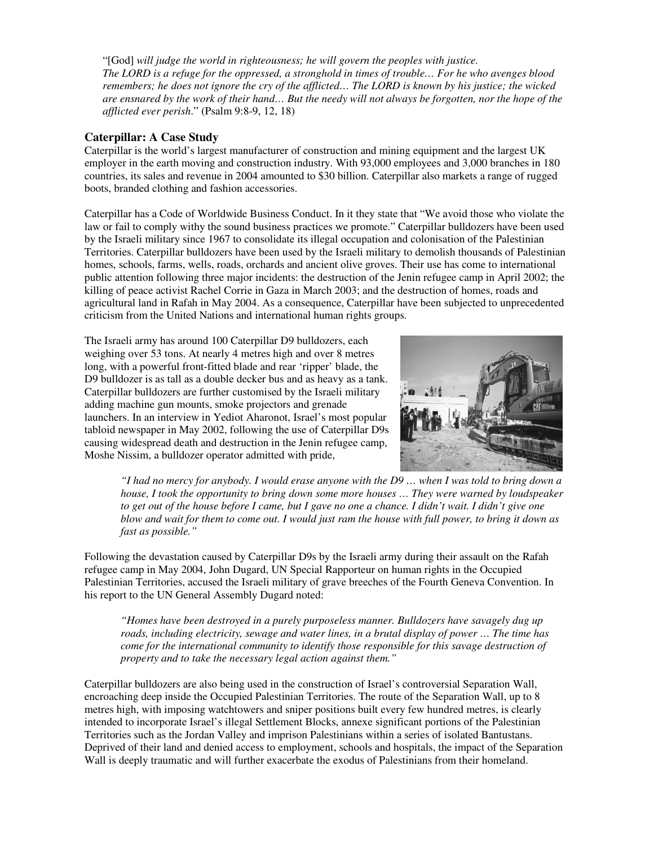"[God] *will judge the world in righteousness; he will govern the peoples with justice.* The LORD is a refuge for the oppressed, a stronghold in times of trouble... For he who avenges blood remembers; he does not ignore the cry of the afflicted... The LORD is known by his justice; the wicked are ensnared by the work of their hand... But the needy will not always be forgotten, nor the hope of the *afflicted ever perish*." (Psalm 9:8-9, 12, 18)

## **Caterpillar: A Case Study**

Caterpillar is the world's largest manufacturer of construction and mining equipment and the largest UK employer in the earth moving and construction industry. With 93,000 employees and 3,000 branches in 180 countries, its sales and revenue in 2004 amounted to \$30 billion. Caterpillar also markets a range of rugged boots, branded clothing and fashion accessories.

Caterpillar has a Code of Worldwide Business Conduct. In it they state that "We avoid those who violate the law or fail to comply withy the sound business practices we promote." Caterpillar bulldozers have been used by the Israeli military since 1967 to consolidate its illegal occupation and colonisation of the Palestinian Territories. Caterpillar bulldozers have been used by the Israeli military to demolish thousands of Palestinian homes, schools, farms, wells, roads, orchards and ancient olive groves. Their use has come to international public attention following three major incidents: the destruction of the Jenin refugee camp in April 2002; the killing of peace activist Rachel Corrie in Gaza in March 2003; and the destruction of homes, roads and agricultural land in Rafah in May 2004. As a consequence, Caterpillar have been subjected to unprecedented criticism from the United Nations and international human rights groups.

The Israeli army has around 100 Caterpillar D9 bulldozers, each weighing over 53 tons. At nearly 4 metres high and over 8 metres long, with a powerful front-fitted blade and rear 'ripper' blade, the D9 bulldozer is as tall as a double decker bus and as heavy as a tank. Caterpillar bulldozers are further customised by the Israeli military adding machine gun mounts, smoke projectors and grenade launchers. In an interview in Yediot Aharonot, Israel's most popular tabloid newspaper in May 2002, following the use of Caterpillar D9s causing widespread death and destruction in the Jenin refugee camp, Moshe Nissim, a bulldozer operator admitted with pride,



"I had no mercy for anybody. I would erase anyone with the D9 ... when I was told to bring down a *house, I took the opportunity to bring down some more houses … They were warned by loudspeaker* to get out of the house before I came, but I gave no one a chance. I didn't wait. I didn't give one blow and wait for them to come out. I would just ram the house with full power, to bring it down as *fast as possible."*

Following the devastation caused by Caterpillar D9s by the Israeli army during their assault on the Rafah refugee camp in May 2004, John Dugard, UN Special Rapporteur on human rights in the Occupied Palestinian Territories, accused the Israeli military of grave breeches of the Fourth Geneva Convention. In his report to the UN General Assembly Dugard noted:

*"Homes have been destroyed in a purely purposeless manner. Bulldozers have savagely dug up roads, including electricity, sewage and water lines, in a brutal display of power … The time has come for the international community to identify those responsible for this savage destruction of property and to take the necessary legal action against them."*

Caterpillar bulldozers are also being used in the construction of Israel's controversial Separation Wall, encroaching deep inside the Occupied Palestinian Territories. The route of the Separation Wall, up to 8 metres high, with imposing watchtowers and sniper positions built every few hundred metres, is clearly intended to incorporate Israel's illegal Settlement Blocks, annexe significant portions of the Palestinian Territories such as the Jordan Valley and imprison Palestinians within a series of isolated Bantustans. Deprived of their land and denied access to employment, schools and hospitals, the impact of the Separation Wall is deeply traumatic and will further exacerbate the exodus of Palestinians from their homeland.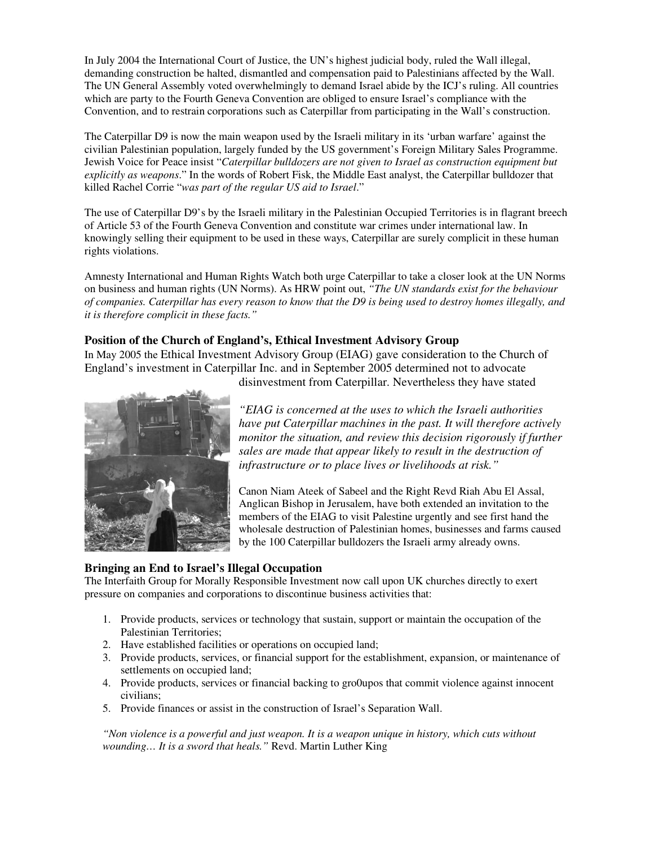In July 2004 the International Court of Justice, the UN's highest judicial body, ruled the Wall illegal, demanding construction be halted, dismantled and compensation paid to Palestinians affected by the Wall. The UN General Assembly voted overwhelmingly to demand Israel abide by the ICJ's ruling. All countries which are party to the Fourth Geneva Convention are obliged to ensure Israel's compliance with the Convention, and to restrain corporations such as Caterpillar from participating in the Wall's construction.

The Caterpillar D9 is now the main weapon used by the Israeli military in its 'urban warfare' against the civilian Palestinian population, largely funded by the US government's Foreign Military Sales Programme. Jewish Voice for Peace insist "*Caterpillar bulldozers are not given to Israel as construction equipment but explicitly as weapons*." In the words of Robert Fisk, the Middle East analyst, the Caterpillar bulldozer that killed Rachel Corrie "*was part of the regular US aid to Israel*."

The use of Caterpillar D9's by the Israeli military in the Palestinian Occupied Territories is in flagrant breech of Article 53 of the Fourth Geneva Convention and constitute war crimes under international law. In knowingly selling their equipment to be used in these ways, Caterpillar are surely complicit in these human rights violations.

Amnesty International and Human Rights Watch both urge Caterpillar to take a closer look at the UN Norms on business and human rights (UN Norms). As HRW point out, *"The UN standards exist for the behaviour* of companies. Caterpillar has every reason to know that the D9 is being used to destroy homes illegally, and *it is therefore complicit in these facts."*

# **Position of the Church of England's, Ethical Investment Advisory Group**

In May 2005 the Ethical Investment Advisory Group (EIAG) gave consideration to the Church of England's investment in Caterpillar Inc. and in September 2005 determined not to advocate disinvestment from Caterpillar. Nevertheless they have stated



*"EIAG is concerned at the uses to which the Israeli authorities*

*have put Caterpillar machines in the past. It will therefore actively monitor the situation, and review this decision rigorously if further sales are made that appear likely to result in the destruction of infrastructure or to place lives or livelihoods at risk."*

Canon Niam Ateek of Sabeel and the Right Revd Riah Abu El Assal, Anglican Bishop in Jerusalem, have both extended an invitation to the members of the EIAG to visit Palestine urgently and see first hand the wholesale destruction of Palestinian homes, businesses and farms caused by the 100 Caterpillar bulldozers the Israeli army already owns.

## **Bringing an End to Israel's Illegal Occupation**

The Interfaith Group for Morally Responsible Investment now call upon UK churches directly to exert pressure on companies and corporations to discontinue business activities that:

- 1. Provide products, services or technology that sustain, support or maintain the occupation of the Palestinian Territories;
- 2. Have established facilities or operations on occupied land;
- 3. Provide products, services, or financial support for the establishment, expansion, or maintenance of settlements on occupied land;
- 4. Provide products, services or financial backing to gro0upos that commit violence against innocent civilians;
- 5. Provide finances or assist in the construction of Israel's Separation Wall.

*"Non violence is a powerful and just weapon. It is a weapon unique in history, which cuts without wounding… It is a sword that heals."* Revd. Martin Luther King